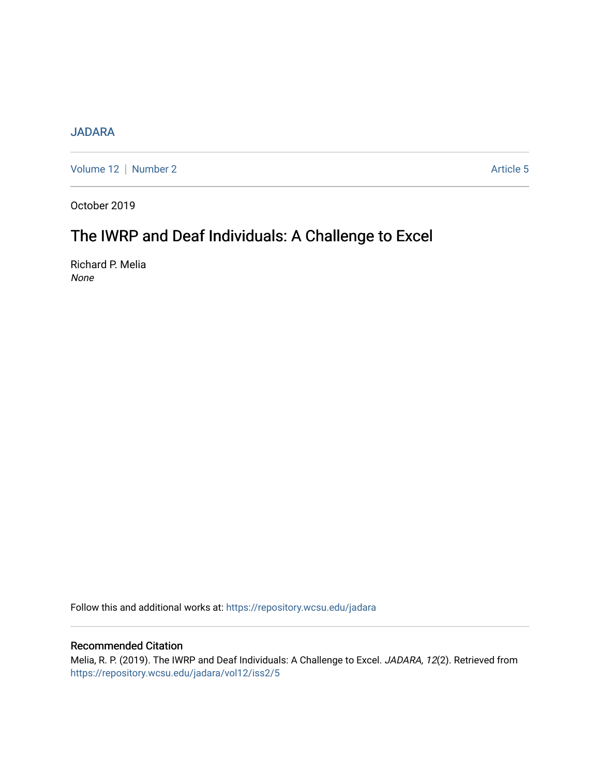## [JADARA](https://repository.wcsu.edu/jadara)

[Volume 12](https://repository.wcsu.edu/jadara/vol12) | [Number 2](https://repository.wcsu.edu/jadara/vol12/iss2) Article 5

October 2019

# The IWRP and Deaf Individuals: A Challenge to Excel

Richard P. Melia None

Follow this and additional works at: [https://repository.wcsu.edu/jadara](https://repository.wcsu.edu/jadara?utm_source=repository.wcsu.edu%2Fjadara%2Fvol12%2Fiss2%2F5&utm_medium=PDF&utm_campaign=PDFCoverPages)

## Recommended Citation

Melia, R. P. (2019). The IWRP and Deaf Individuals: A Challenge to Excel. JADARA, 12(2). Retrieved from [https://repository.wcsu.edu/jadara/vol12/iss2/5](https://repository.wcsu.edu/jadara/vol12/iss2/5?utm_source=repository.wcsu.edu%2Fjadara%2Fvol12%2Fiss2%2F5&utm_medium=PDF&utm_campaign=PDFCoverPages)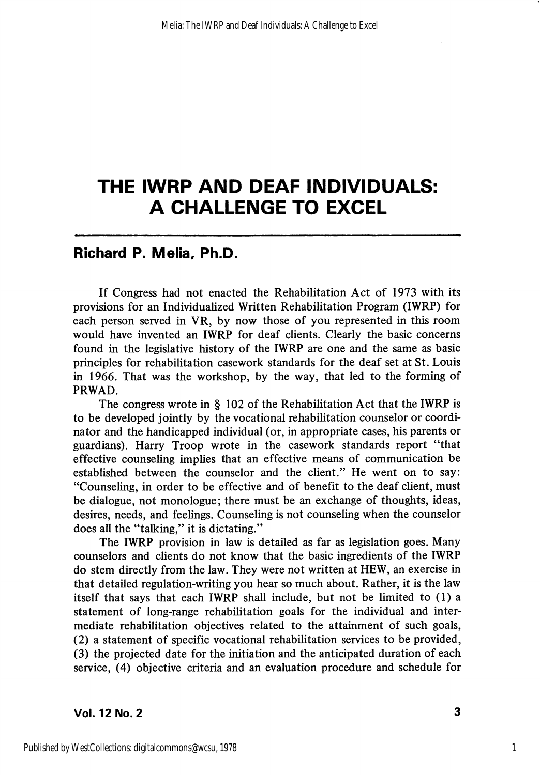# THE IWRP AND DEAF INDIVIDUALS: A CHALLENGE TO EXCEL

# Richard P. Mella, Ph.D.

If Congress had not enacted the Rehabilitation Act of 1973 with its provisions for an Individualized Written Rehabilitation Program (IWRP) for each person served in VR, by now those of you represented in this room would have invented an IWRP for deaf clients. Clearly the basic concerns found in the legislative history of the IWRP are one and the same as basic principles for rehabilitation casework standards for the deaf set at St. Louis in 1966. That was the workshop, by the way, that led to the forming of PRWAD.

The congress wrote in § 102 of the Rehabilitation Act that the IWRP is to be developed jointly by the vocational rehabilitation counselor or coordi nator and the handicapped individual (or, in appropriate cases, his parents or guardians). Harry Troop wrote in the casework standards report "that effective counsehng implies that an effective means of communication be established between the counselor and the client." He went on to say: "Counseling, in order to be effective and of benefit to the deaf client, must be dialogue, not monologue; there must be an exchange of thoughts, ideas, desires, needs, and feelings. Counseling is not counseling when the counselor does all the "talking," it is dictating."

The IWRP provision in law is detailed as far as legislation goes. Many counselors and clients do not know that the basic ingredients of the IWRP do stem directly from the law. They were not written at HEW, an exercise in that detailed regulation-writing you hear so much about. Rather, it is the law itself that says that each IWRP shall include, but not be limited to (1) a statement of long-range rehabilitation goals for the individual and inter mediate rehabilitation objectives related to the attainment of such goals, (2) a statement of specific vocational rehabilitation services to be provided, (3) the projected date for the initiation and the anticipated duration of each service, (4) objective criteria and an evaluation procedure and schedule for

1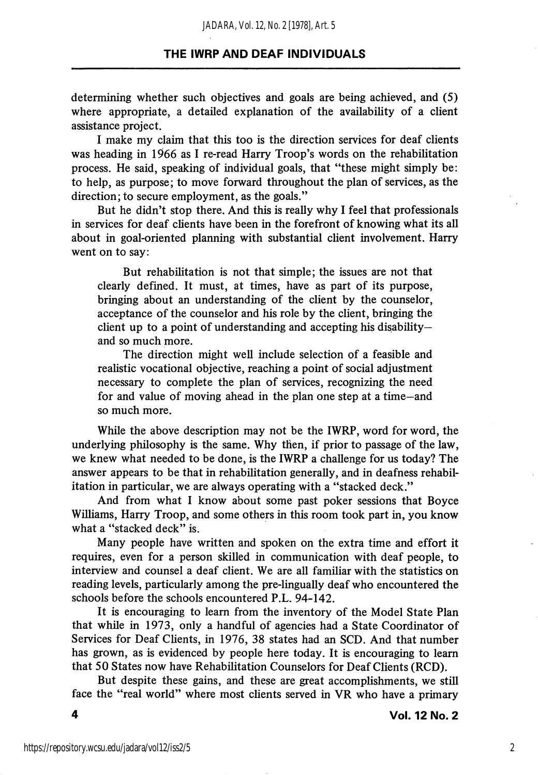determining whether such objectives and goals are being achieved, and (5) where appropriate, a detailed explanation of the availability of a client assistance project.

I make my claim that this too is the direction services for deaf clients was heading in 1966 as I re-read Harry Troop's words on the rehabilitation process. He said, speaking of individual goals, that "these might simply be: to help, as purpose; to move forward throughout the plan of services, as the direction; to secure employment, as the goals."

But he didn't stop there. And this is really why I feel that professionals in services for deaf clients have been in the forefront of knowing what its all about in goal-oriented planning with substantial client involvement. Harry went on to say:

But rehabilitation is not that simple; the issues are not that clearly defined. It must, at times, have as part of its purpose, bringing about an understanding of the client by the counselor, acceptance of the counselor and his role by the client, bringing the client up to a point of understanding and accepting his disability and so much more.

The direction might well include selection of a feasible and realistic vocational objective, reaching a point of social adjustment necessary to complete the plan of services, recognizing the need for and value of moving ahead in the plan one step at a time—and so much more.

While the above description may not be the IWRP, word for word, the underlying philosophy is the same. Why then, if prior to passage of the law, we knew what needed to be done, is the IWRP a challenge for us today? The answer appears to be that in rehabilitation generally, and in deafness rehabilitation in particular, we are always operating with a "stacked deck."

And from what I know about some past poker sessions that Boyce Williams, Harry Troop, and some others in this room took part in, you know what a "stacked deck" is.

Many people have written and spoken on the extra time and effort it requires, even for a person skilled in communication with deaf people, to interview and counsel a deaf client. We are all familiar with the statistics on reading levels, particularly among the pre-lingually deaf who encountered the schools before the schools encountered P.L. 94-142.

It is encouraging to leam from the inventory of the Model State Plan that while in 1973, only a handful of agencies had a State Coordinator of Services for Deaf Clients, in 1976, 38 states had an SCD. And that number has grown, as is evidenced by people here today. It is encouraging to leam that 50 States now have Rehabilitation Counselors for Deaf Clients (RCD).

But despite these gains, and these are great accomplishments, we still face the "real world" where most clients served in VR who have a primary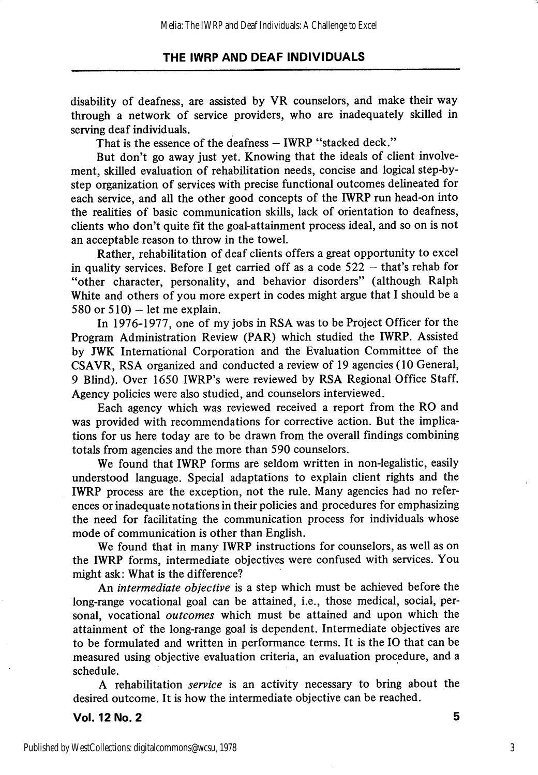disability of deafness, are assisted by VR counselors, and make their way through a network of service providers, who are inadequately skilled in serving deaf individuals.

That is the essence of the deafness — IWRP "stacked deck."

But don't go away just yet. Knowing that the ideals of client involve ment, skilled evaluation of rehabilitation needs, concise and logical step-bystep organization of services with precise functional outcomes delineated for each service, and all the other good concepts of the IWRP run head-on into the realities of basic communication skills, lack of orientation to deafness, clients who don't quite fit the goal-attainment process ideal, and so on is not an acceptable reason to throw in the towel.

Rather, rehabilitation of deaf clients offers a great opportunity to excel in quality services. Before I get carried off as a code 522 — that's rehab for "other character, personality, and behavior disorders" (although Ralph White and others of you more expert in codes might argue that I should be a 580 or 510) – let me explain.

In 1976-1977, one of my jobs in RSA was to be Project Officer for the Program Administration Review (PAR) which studied the IWRP. Assisted by JWK International Corporation and the Evaluation Committee of the CSAVR, RSA organized and conducted a review of 19 agencies (10 General, 9 Blind). Over 1650 IWRP's were reviewed by RSA Regional Office Staff. Agency policies were also studied, and counselors interviewed.

Each agency which was reviewed received a report from the RO and was provided with recommendations for corrective action. But the implica tions for us here today are to be drawn from the overall findings combining totals from agencies and the more than 590 counselors.

We found that IWRP forms are seldom written in non-legalistic, easily understood language. Special adaptations to explain client rights and the IWRP process are the exception, not the rule. Many agencies had no refer ences or inadequate notations in their policies and procedures for emphasizing the need for facilitating the communication process for individuals whose mode of communication is other than English.

We found that in many IWRP instructions for counselors, as well as on the IWRP forms, intermediate objectives were confused with services. You might ask: What is the difference?

An *intermediate objective* is a step which must be achieved before the long-range vocational goal can be attained, i.e., those medical, social, per sonal, vocational *outcomes* which must be attained and upon which the attainment of the long-range goal is dependent. Intermediate objectives are to be formulated and written in performance terms. It is the 10 that can be measured using objective evaluation criteria, an evaluation procedure, and a schedule.

A rehabilitation *service* is an activity necessary to bring about the desired outcome. It is how the intermediate objective can be reached.

Vol. 12 No. 2 5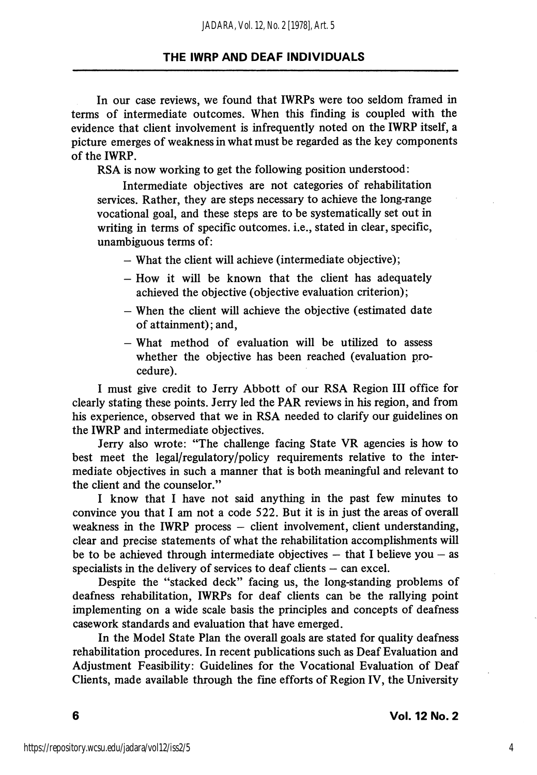In our case reviews, we found that IWRPs were too seldom framed in terms of intermediate outcomes. When this finding is coupled with the evidence that client involvement is infrequently noted on the IWRP itself, a picture emerges of weakness in what must be regarded as the key components of the IWRP.

RSA is now working to get the following position understood:

Intermediate objectives are not categories of rehabilitation services. Rather, they are steps necessary to achieve the long-range vocational goal, and these steps are to be systematically set out in writing in terms of specific outcomes, i.e., stated in clear, specific, unambiguous terms of:

— What the client will achieve (intermediate objective);

- $-$  How it will be known that the client has adequately achieved the objective (objective evaluation criterion);
- When the client will achieve the objective (estimated date of attainment); and,
- What method of evaluation will be utilized to assess whether the objective has been reached (evaluation pro cedure).

1 must give credit to Jerry Abbott of our RSA Region 111 office for clearly stating these points. Jerry led the PAR reviews in his region, and from his experience, observed that we in RSA needed to clarify our guidelines on the IWRP and intermediate objectives.

Jerry also wrote: "The challenge facing State VR agencies is how to best meet the legal/regulatory/policy requirements relative to the inter mediate objectives in such a manner that is both meaningful and relevant to the client and the counselor."

1 know that 1 have not said anything in the past few minutes to convince you that 1 am not a code 522. But it is in just the areas of overall weakness in the IWRP process  $-$  client involvement, client understanding, clear and precise statements of what the rehabihtation accomplishments will be to be achieved through intermediate objectives  $-$  that I believe you  $-$  as specialists in the delivery of services to deaf clients — can excel.

Despite the "stacked deck" facing us, the long-standing problems of deafness rehabilitation, IWRPs for deaf clients can be the rallying point implementing on a wide scale basis the principles and concepts of deafness casework standards and evaluation that have emerged.

In the Model State Plan the overall goals are stated for quality deafness rehabilitation procedures. In recent publications such as Deaf Evaluation and Adjustment Feasibility: Guidelines for the Vocational Evaluation of Deaf Clients, made available through the fine efforts of Region IV, the University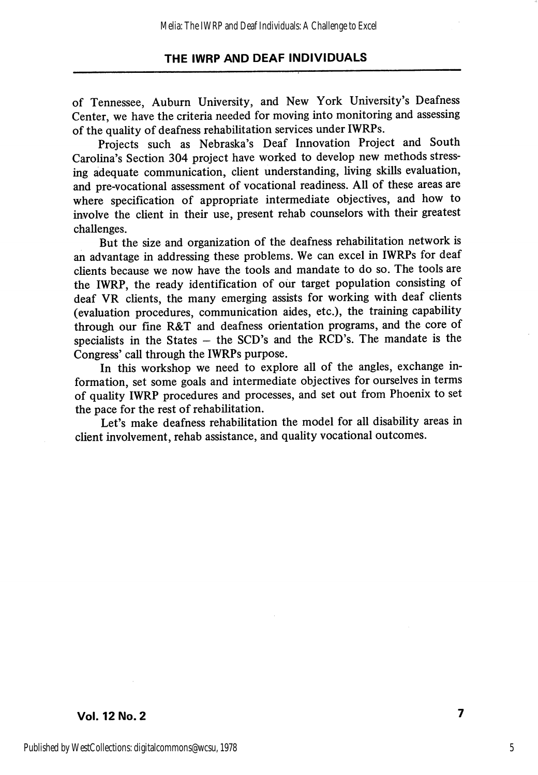of Tennessee, Auburn University, and New York University's Deafness Center, we have the criteria needed for moving into monitoring and assessing of the quality of deafness rehabilitation services under IWRPs.

Projects such as Nebraska's Deaf Innovation Project and South Carolina's Section 304 project have worked to develop new methods stress ing adequate communication, client understanding, living skills evaluation, and pre-vocational assessment of vocational readiness. All of these areas are where specification of appropriate intermediate objectives, and how to involve the client in their use, present rehab counselors with their greatest challenges.

But the size and organization of the deafness rehabilitation network is an advantage in addressing these problems. We can excel in IWRPs for deaf clients because we now have the tools and mandate to do so. The tools are the IWRP, the ready identification of our target population consisting of deaf VR clients, the many emerging assists for working with deaf clients (evaluation procedures, communication aides, etc.), the training capability through our fine R&T and deafness orientation programs, and the core of specialists in the States  $-$  the SCD's and the RCD's. The mandate is the Congress' call through the IWRPs purpose.

In this workshop we need to explore all of the angles, exchange in formation, set some goals and intermediate objectives for ourselves in terms of quahty IWRP procedures and processes, and set out from Phoenix to set the pace for the rest of rehabilitation.

Let's make deafness rehabilitation the model for all disability areas in client involvement, rehab assistance, and quality vocational outcomes.